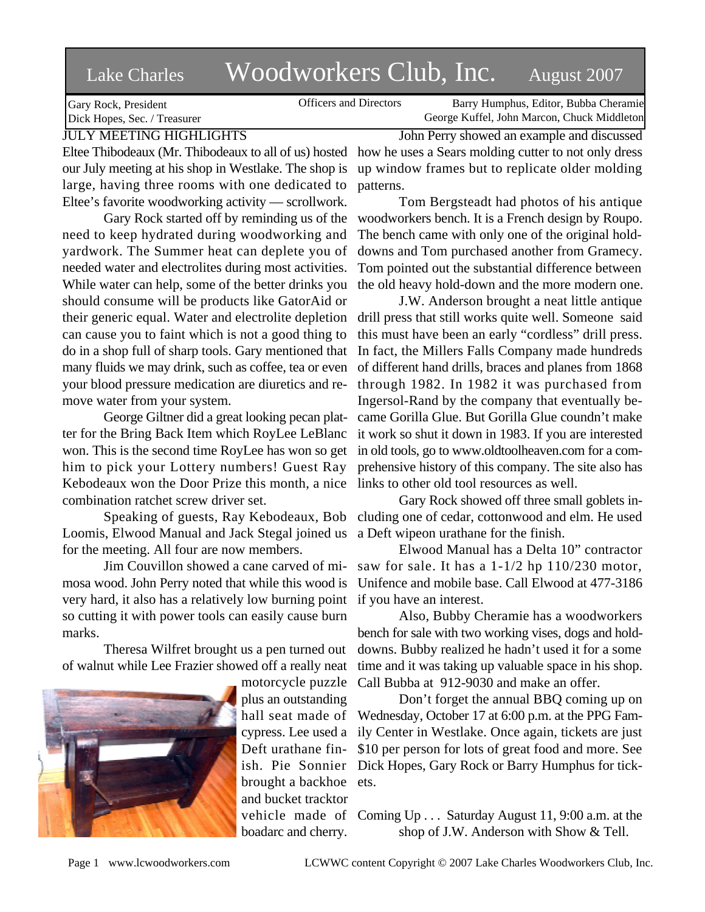# Lake Charles Woodworkers Club, Inc. August 2007

Officers and Directors Barry Humphus, Editor, Bubba Cheramie George Kuffel, John Marcon, Chuck Middleton

Gary Rock, President Dick Hopes, Sec. / Treasurer JULY MEETING HIGHLIGHTS

# Eltee Thibodeaux (Mr. Thibodeaux to all of us) hosted our July meeting at his shop in Westlake. The shop is

large, having three rooms with one dedicated to Eltee's favorite woodworking activity — scrollwork.

Gary Rock started off by reminding us of the need to keep hydrated during woodworking and yardwork. The Summer heat can deplete you of needed water and electrolites during most activities. While water can help, some of the better drinks you should consume will be products like GatorAid or their generic equal. Water and electrolite depletion can cause you to faint which is not a good thing to do in a shop full of sharp tools. Gary mentioned that many fluids we may drink, such as coffee, tea or even your blood pressure medication are diuretics and remove water from your system.

George Giltner did a great looking pecan platter for the Bring Back Item which RoyLee LeBlanc won. This is the second time RoyLee has won so get him to pick your Lottery numbers! Guest Ray Kebodeaux won the Door Prize this month, a nice combination ratchet screw driver set.

Speaking of guests, Ray Kebodeaux, Bob Loomis, Elwood Manual and Jack Stegal joined us for the meeting. All four are now members.

Jim Couvillon showed a cane carved of mimosa wood. John Perry noted that while this wood is very hard, it also has a relatively low burning point if you have an interest. so cutting it with power tools can easily cause burn marks.

Theresa Wilfret brought us a pen turned out of walnut while Lee Frazier showed off a really neat



motorcycle puzzle plus an outstanding hall seat made of cypress. Lee used a Deft urathane finbrought a backhoe ets. and bucket tracktor boadarc and cherry.

John Perry showed an example and discussed how he uses a Sears molding cutter to not only dress up window frames but to replicate older molding patterns.

Tom Bergsteadt had photos of his antique woodworkers bench. It is a French design by Roupo. The bench came with only one of the original holddowns and Tom purchased another from Gramecy. Tom pointed out the substantial difference between the old heavy hold-down and the more modern one.

J.W. Anderson brought a neat little antique drill press that still works quite well. Someone said this must have been an early "cordless" drill press. In fact, the Millers Falls Company made hundreds of different hand drills, braces and planes from 1868 through 1982. In 1982 it was purchased from Ingersol-Rand by the company that eventually became Gorilla Glue. But Gorilla Glue coundn't make it work so shut it down in 1983. If you are interested in old tools, go to www.oldtoolheaven.com for a comprehensive history of this company. The site also has links to other old tool resources as well.

Gary Rock showed off three small goblets including one of cedar, cottonwood and elm. He used a Deft wipeon urathane for the finish.

Elwood Manual has a Delta 10" contractor saw for sale. It has a 1-1/2 hp 110/230 motor, Unifence and mobile base. Call Elwood at 477-3186

Also, Bubby Cheramie has a woodworkers bench for sale with two working vises, dogs and holddowns. Bubby realized he hadn't used it for a some time and it was taking up valuable space in his shop. Call Bubba at 912-9030 and make an offer.

ish. Pie Sonnier Dick Hopes, Gary Rock or Barry Humphus for tick-Don't forget the annual BBQ coming up on Wednesday, October 17 at 6:00 p.m. at the PPG Family Center in Westlake. Once again, tickets are just \$10 per person for lots of great food and more. See

vehicle made of Coming Up... Saturday August 11, 9:00 a.m. at the shop of J.W. Anderson with Show & Tell.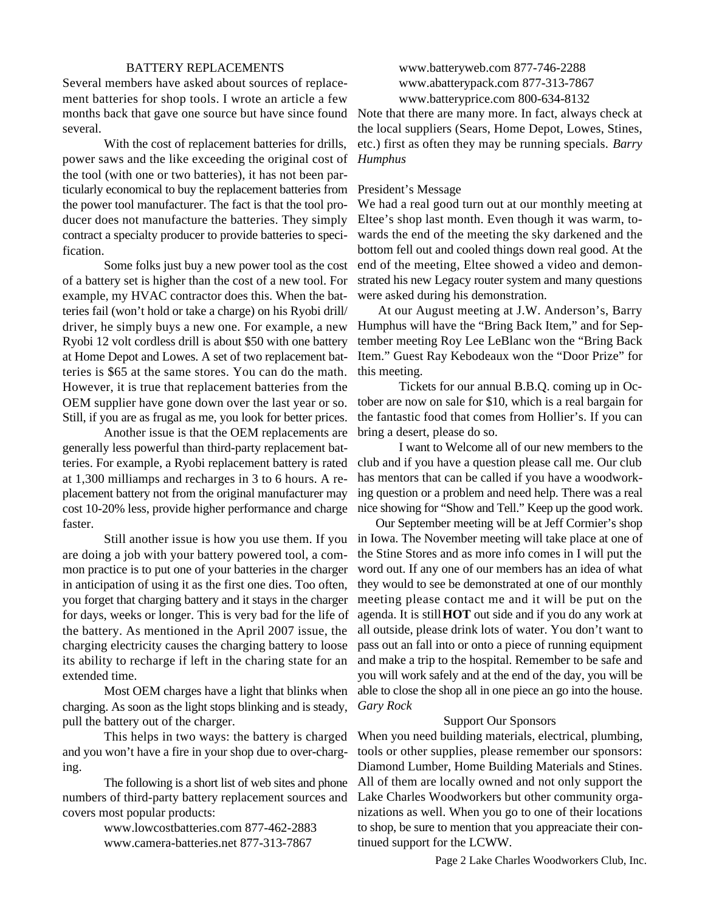#### BATTERY REPLACEMENTS

Several members have asked about sources of replacement batteries for shop tools. I wrote an article a few months back that gave one source but have since found Note that there are many more. In fact, always check at several.

With the cost of replacement batteries for drills, power saws and the like exceeding the original cost of the tool (with one or two batteries), it has not been particularly economical to buy the replacement batteries from the power tool manufacturer. The fact is that the tool producer does not manufacture the batteries. They simply contract a specialty producer to provide batteries to specification.

Some folks just buy a new power tool as the cost of a battery set is higher than the cost of a new tool. For example, my HVAC contractor does this. When the batteries fail (won't hold or take a charge) on his Ryobi drill/ driver, he simply buys a new one. For example, a new Ryobi 12 volt cordless drill is about \$50 with one battery at Home Depot and Lowes. A set of two replacement batteries is \$65 at the same stores. You can do the math. However, it is true that replacement batteries from the OEM supplier have gone down over the last year or so. Still, if you are as frugal as me, you look for better prices.

Another issue is that the OEM replacements are generally less powerful than third-party replacement batteries. For example, a Ryobi replacement battery is rated at 1,300 milliamps and recharges in 3 to 6 hours. A replacement battery not from the original manufacturer may cost 10-20% less, provide higher performance and charge faster.

Still another issue is how you use them. If you are doing a job with your battery powered tool, a common practice is to put one of your batteries in the charger in anticipation of using it as the first one dies. Too often, you forget that charging battery and it stays in the charger for days, weeks or longer. This is very bad for the life of the battery. As mentioned in the April 2007 issue, the charging electricity causes the charging battery to loose its ability to recharge if left in the charing state for an extended time.

Most OEM charges have a light that blinks when charging. As soon as the light stops blinking and is steady, pull the battery out of the charger.

This helps in two ways: the battery is charged and you won't have a fire in your shop due to over-charging.

The following is a short list of web sites and phone numbers of third-party battery replacement sources and covers most popular products:

> www.lowcostbatteries.com 877-462-2883 www.camera-batteries.net 877-313-7867

www.batteryweb.com 877-746-2288 www.abatterypack.com 877-313-7867 www.batteryprice.com 800-634-8132

the local suppliers (Sears, Home Depot, Lowes, Stines, etc.) first as often they may be running specials. *Barry Humphus*

### President's Message

We had a real good turn out at our monthly meeting at Eltee's shop last month. Even though it was warm, towards the end of the meeting the sky darkened and the bottom fell out and cooled things down real good. At the end of the meeting, Eltee showed a video and demonstrated his new Legacy router system and many questions were asked during his demonstration.

 At our August meeting at J.W. Anderson's, Barry Humphus will have the "Bring Back Item," and for September meeting Roy Lee LeBlanc won the "Bring Back Item." Guest Ray Kebodeaux won the "Door Prize" for this meeting.

Tickets for our annual B.B.Q. coming up in October are now on sale for \$10, which is a real bargain for the fantastic food that comes from Hollier's. If you can bring a desert, please do so.

I want to Welcome all of our new members to the club and if you have a question please call me. Our club has mentors that can be called if you have a woodworking question or a problem and need help. There was a real nice showing for "Show and Tell." Keep up the good work.

 Our September meeting will be at Jeff Cormier's shop in Iowa. The November meeting will take place at one of the Stine Stores and as more info comes in I will put the word out. If any one of our members has an idea of what they would to see be demonstrated at one of our monthly meeting please contact me and it will be put on the agenda. It is still **HOT** out side and if you do any work at all outside, please drink lots of water. You don't want to pass out an fall into or onto a piece of running equipment and make a trip to the hospital. Remember to be safe and you will work safely and at the end of the day, you will be able to close the shop all in one piece an go into the house. *Gary Rock*

## Support Our Sponsors

When you need building materials, electrical, plumbing, tools or other supplies, please remember our sponsors: Diamond Lumber, Home Building Materials and Stines. All of them are locally owned and not only support the Lake Charles Woodworkers but other community organizations as well. When you go to one of their locations to shop, be sure to mention that you appreaciate their continued support for the LCWW.